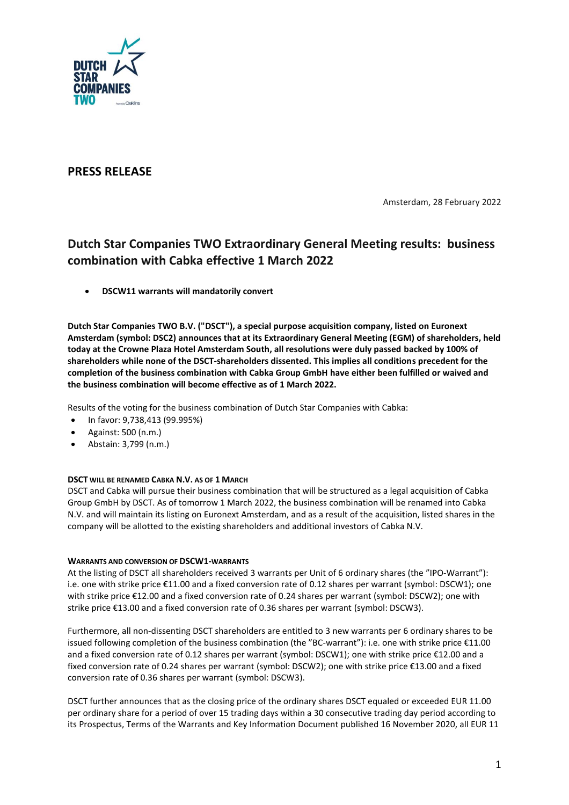

# **PRESS RELEASE**

Amsterdam, 28 February 2022

# **Dutch Star Companies TWO Extraordinary General Meeting results: business combination with Cabka effective 1 March 2022**

• **DSCW11 warrants will mandatorily convert** 

**Dutch Star Companies TWO B.V. ("DSCT"), a special purpose acquisition company, listed on Euronext Amsterdam (symbol: DSC2) announces that at its Extraordinary General Meeting (EGM) of shareholders, held today at the Crowne Plaza Hotel Amsterdam South, all resolutions were duly passed backed by 100% of shareholders while none of the DSCT-shareholders dissented. This implies all conditions precedent for the completion of the business combination with Cabka Group GmbH have either been fulfilled or waived and the business combination will become effective as of 1 March 2022.**

Results of the voting for the business combination of Dutch Star Companies with Cabka:

- In favor: 9,738,413 (99.995%)
- Against: 500 (n.m.)
- Abstain: 3,799 (n.m.)

# **DSCT WILL BE RENAMED CABKA N.V. AS OF 1 MARCH**

DSCT and Cabka will pursue their business combination that will be structured as a legal acquisition of Cabka Group GmbH by DSCT. As of tomorrow 1 March 2022, the business combination will be renamed into Cabka N.V. and will maintain its listing on Euronext Amsterdam, and as a result of the acquisition, listed shares in the company will be allotted to the existing shareholders and additional investors of Cabka N.V.

# **WARRANTS AND CONVERSION OF DSCW1-WARRANTS**

At the listing of DSCT all shareholders received 3 warrants per Unit of 6 ordinary shares (the "IPO-Warrant"): i.e. one with strike price €11.00 and a fixed conversion rate of 0.12 shares per warrant (symbol: DSCW1); one with strike price €12.00 and a fixed conversion rate of 0.24 shares per warrant (symbol: DSCW2); one with strike price €13.00 and a fixed conversion rate of 0.36 shares per warrant (symbol: DSCW3).

Furthermore, all non-dissenting DSCT shareholders are entitled to 3 new warrants per 6 ordinary shares to be issued following completion of the business combination (the "BC-warrant"): i.e. one with strike price €11.00 and a fixed conversion rate of 0.12 shares per warrant (symbol: DSCW1); one with strike price €12.00 and a fixed conversion rate of 0.24 shares per warrant (symbol: DSCW2); one with strike price €13.00 and a fixed conversion rate of 0.36 shares per warrant (symbol: DSCW3).

DSCT further announces that as the closing price of the ordinary shares DSCT equaled or exceeded EUR 11.00 per ordinary share for a period of over 15 trading days within a 30 consecutive trading day period according to its Prospectus, Terms of the Warrants and Key Information Document published 16 November 2020, all EUR 11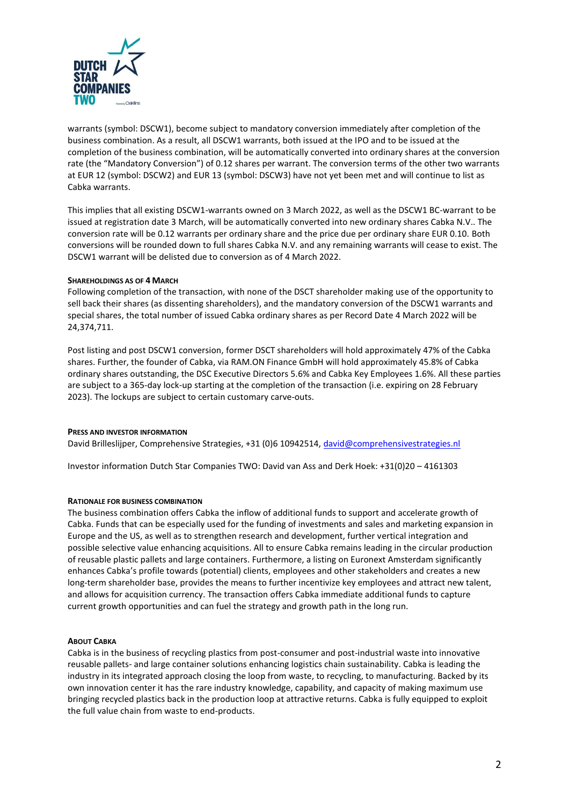

warrants (symbol: DSCW1), become subject to mandatory conversion immediately after completion of the business combination. As a result, all DSCW1 warrants, both issued at the IPO and to be issued at the completion of the business combination, will be automatically converted into ordinary shares at the conversion rate (the "Mandatory Conversion") of 0.12 shares per warrant. The conversion terms of the other two warrants at EUR 12 (symbol: DSCW2) and EUR 13 (symbol: DSCW3) have not yet been met and will continue to list as Cabka warrants.

This implies that all existing DSCW1-warrants owned on 3 March 2022, as well as the DSCW1 BC-warrant to be issued at registration date 3 March, will be automatically converted into new ordinary shares Cabka N.V.. The conversion rate will be 0.12 warrants per ordinary share and the price due per ordinary share EUR 0.10. Both conversions will be rounded down to full shares Cabka N.V. and any remaining warrants will cease to exist. The DSCW1 warrant will be delisted due to conversion as of 4 March 2022.

# **SHAREHOLDINGS AS OF 4 MARCH**

Following completion of the transaction, with none of the DSCT shareholder making use of the opportunity to sell back their shares (as dissenting shareholders), and the mandatory conversion of the DSCW1 warrants and special shares, the total number of issued Cabka ordinary shares as per Record Date 4 March 2022 will be 24,374,711.

Post listing and post DSCW1 conversion, former DSCT shareholders will hold approximately 47% of the Cabka shares. Further, the founder of Cabka, via RAM.ON Finance GmbH will hold approximately 45.8% of Cabka ordinary shares outstanding, the DSC Executive Directors 5.6% and Cabka Key Employees 1.6%. All these parties are subject to a 365-day lock-up starting at the completion of the transaction (i.e. expiring on 28 February 2023). The lockups are subject to certain customary carve-outs.

#### **PRESS AND INVESTOR INFORMATION**

David Brilleslijper, Comprehensive Strategies, +31 (0)6 10942514, [david@comprehensivestrategies.nl](mailto:david@comprehensivestrategies.nl)

Investor information Dutch Star Companies TWO: David van Ass and Derk Hoek: +31(0)20 – 4161303

# **RATIONALE FOR BUSINESS COMBINATION**

The business combination offers Cabka the inflow of additional funds to support and accelerate growth of Cabka. Funds that can be especially used for the funding of investments and sales and marketing expansion in Europe and the US, as well as to strengthen research and development, further vertical integration and possible selective value enhancing acquisitions. All to ensure Cabka remains leading in the circular production of reusable plastic pallets and large containers. Furthermore, a listing on Euronext Amsterdam significantly enhances Cabka's profile towards (potential) clients, employees and other stakeholders and creates a new long-term shareholder base, provides the means to further incentivize key employees and attract new talent, and allows for acquisition currency. The transaction offers Cabka immediate additional funds to capture current growth opportunities and can fuel the strategy and growth path in the long run.

#### **ABOUT CABKA**

Cabka is in the business of recycling plastics from post-consumer and post-industrial waste into innovative reusable pallets- and large container solutions enhancing logistics chain sustainability. Cabka is leading the industry in its integrated approach closing the loop from waste, to recycling, to manufacturing. Backed by its own innovation center it has the rare industry knowledge, capability, and capacity of making maximum use bringing recycled plastics back in the production loop at attractive returns. Cabka is fully equipped to exploit the full value chain from waste to end-products.